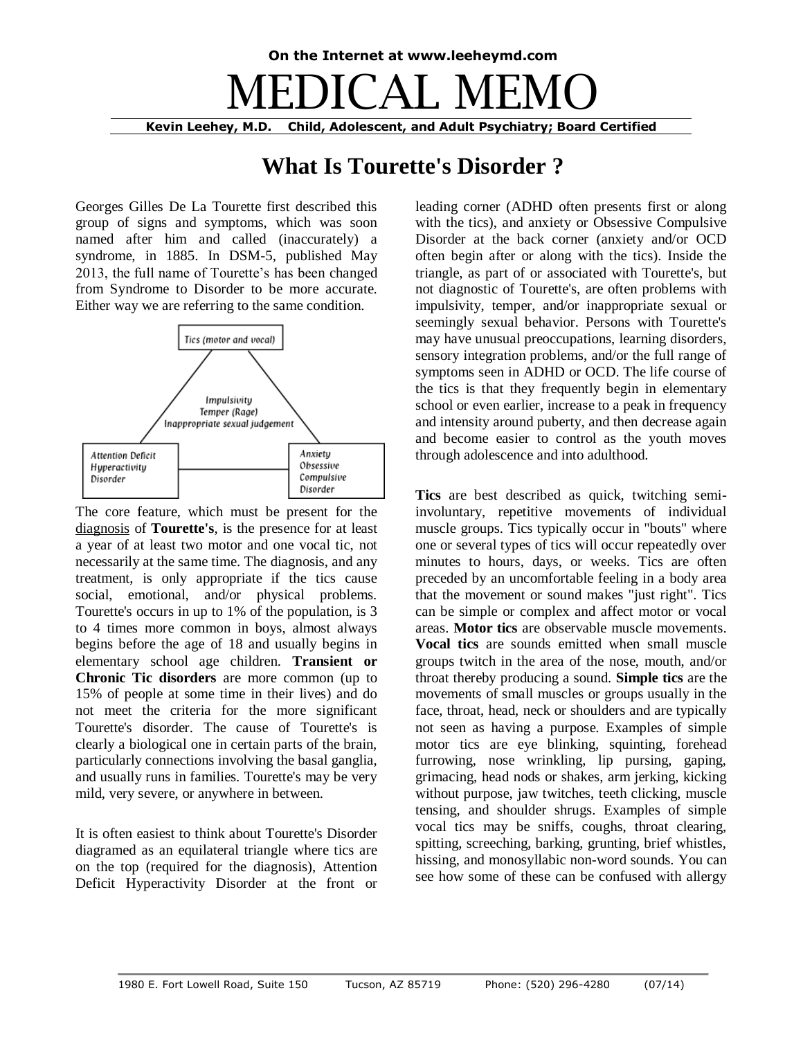## **On the Internet at www.leeheymd.com** MEDICAL MEMO **Kevin Leehey, M.D. Child, Adolescent, and Adult Psychiatry; Board Certified**

## **What Is Tourette's Disorder ?**

Georges Gilles De La Tourette first described this group of signs and symptoms, which was soon named after him and called (inaccurately) a syndrome, in 1885. In DSM-5, published May 2013, the full name of Tourette's has been changed from Syndrome to Disorder to be more accurate. Either way we are referring to the same condition.



The core feature, which must be present for the diagnosis of **Tourette's**, is the presence for at least a year of at least two motor and one vocal tic, not necessarily at the same time. The diagnosis, and any treatment, is only appropriate if the tics cause social, emotional, and/or physical problems. Tourette's occurs in up to 1% of the population, is 3 to 4 times more common in boys, almost always begins before the age of 18 and usually begins in elementary school age children. **Transient or Chronic Tic disorders** are more common (up to 15% of people at some time in their lives) and do not meet the criteria for the more significant Tourette's disorder. The cause of Tourette's is clearly a biological one in certain parts of the brain, particularly connections involving the basal ganglia, and usually runs in families. Tourette's may be very mild, very severe, or anywhere in between.

It is often easiest to think about Tourette's Disorder diagramed as an equilateral triangle where tics are on the top (required for the diagnosis), Attention Deficit Hyperactivity Disorder at the front or leading corner (ADHD often presents first or along with the tics), and anxiety or Obsessive Compulsive Disorder at the back corner (anxiety and/or OCD often begin after or along with the tics). Inside the triangle, as part of or associated with Tourette's, but not diagnostic of Tourette's, are often problems with impulsivity, temper, and/or inappropriate sexual or seemingly sexual behavior. Persons with Tourette's may have unusual preoccupations, learning disorders, sensory integration problems, and/or the full range of symptoms seen in ADHD or OCD. The life course of the tics is that they frequently begin in elementary school or even earlier, increase to a peak in frequency and intensity around puberty, and then decrease again and become easier to control as the youth moves through adolescence and into adulthood.

**Tics** are best described as quick, twitching semiinvoluntary, repetitive movements of individual muscle groups. Tics typically occur in "bouts" where one or several types of tics will occur repeatedly over minutes to hours, days, or weeks. Tics are often preceded by an uncomfortable feeling in a body area that the movement or sound makes "just right". Tics can be simple or complex and affect motor or vocal areas. **Motor tics** are observable muscle movements. **Vocal tics** are sounds emitted when small muscle groups twitch in the area of the nose, mouth, and/or throat thereby producing a sound. **Simple tics** are the movements of small muscles or groups usually in the face, throat, head, neck or shoulders and are typically not seen as having a purpose. Examples of simple motor tics are eye blinking, squinting, forehead furrowing, nose wrinkling, lip pursing, gaping, grimacing, head nods or shakes, arm jerking, kicking without purpose, jaw twitches, teeth clicking, muscle tensing, and shoulder shrugs. Examples of simple vocal tics may be sniffs, coughs, throat clearing, spitting, screeching, barking, grunting, brief whistles, hissing, and monosyllabic non-word sounds. You can see how some of these can be confused with allergy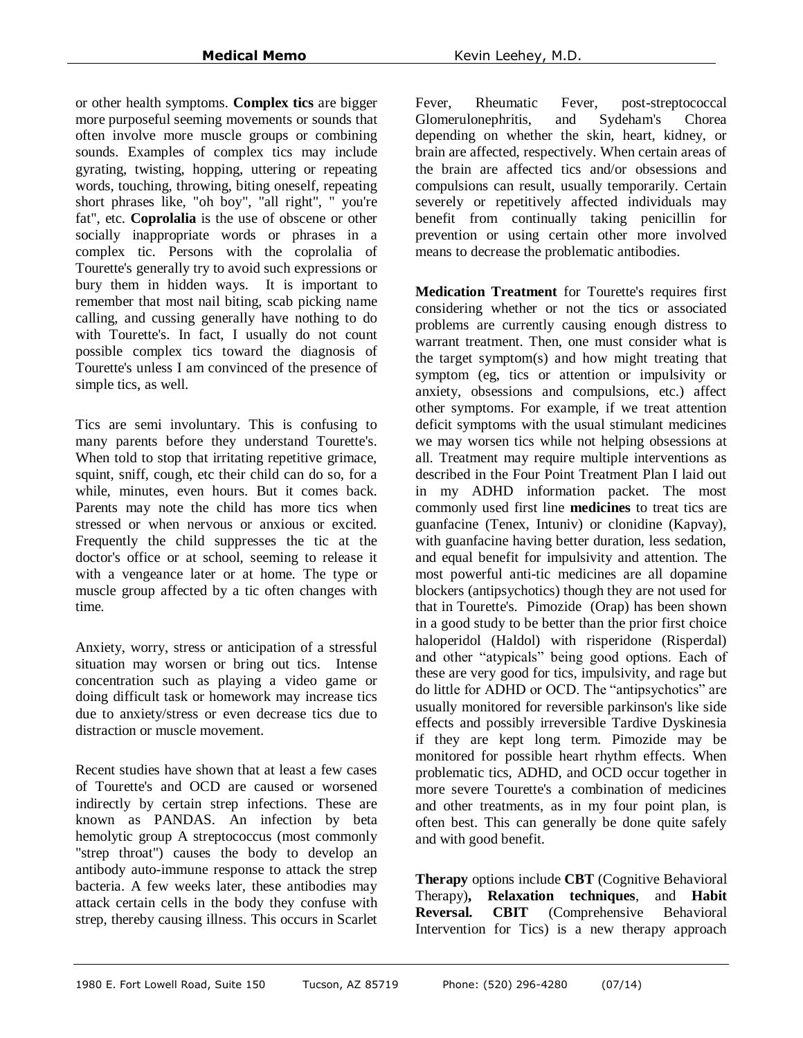or other health symptoms. **Complex tics** are bigger more purposeful seeming movements or sounds that often involve more muscle groups or combining sounds. Examples of complex tics may include gyrating, twisting, hopping, uttering or repeating words, touching, throwing, biting oneself, repeating short phrases like, "oh boy", "all right", " you're fat", etc. **Coprolalia** is the use of obscene or other socially inappropriate words or phrases in a complex tic. Persons with the coprolalia of Tourette's generally try to avoid such expressions or bury them in hidden ways. It is important to remember that most nail biting, scab picking name calling, and cussing generally have nothing to do with Tourette's. In fact, I usually do not count possible complex tics toward the diagnosis of Tourette's unless I am convinced of the presence of simple tics, as well.

Tics are semi involuntary. This is confusing to many parents before they understand Tourette's. When told to stop that irritating repetitive grimace, squint, sniff, cough, etc their child can do so, for a while, minutes, even hours. But it comes back. Parents may note the child has more tics when stressed or when nervous or anxious or excited. Frequently the child suppresses the tic at the doctor's office or at school, seeming to release it with a vengeance later or at home. The type or muscle group affected by a tic often changes with time.

Anxiety, worry, stress or anticipation of a stressful situation may worsen or bring out tics. Intense concentration such as playing a video game or doing difficult task or homework may increase tics due to anxiety/stress or even decrease tics due to distraction or muscle movement.

Recent studies have shown that at least a few cases of Tourette's and OCD are caused or worsened indirectly by certain strep infections. These are known as PANDAS. An infection by beta hemolytic group A streptococcus (most commonly "strep throat") causes the body to develop an antibody auto-immune response to attack the strep bacteria. A few weeks later, these antibodies may attack certain cells in the body they confuse with strep, thereby causing illness. This occurs in Scarlet

Fever, Rheumatic Fever, post-streptococcal Glomerulonephritis, and Sydeham's Chorea depending on whether the skin, heart, kidney, or brain are affected, respectively. When certain areas of the brain are affected tics and/or obsessions and compulsions can result, usually temporarily. Certain severely or repetitively affected individuals may benefit from continually taking penicillin for prevention or using certain other more involved means to decrease the problematic antibodies.

**Medication Treatment** for Tourette's requires first considering whether or not the tics or associated problems are currently causing enough distress to warrant treatment. Then, one must consider what is the target symptom(s) and how might treating that symptom (eg, tics or attention or impulsivity or anxiety, obsessions and compulsions, etc.) affect other symptoms. For example, if we treat attention deficit symptoms with the usual stimulant medicines we may worsen tics while not helping obsessions at all. Treatment may require multiple interventions as described in the Four Point Treatment Plan I laid out in my ADHD information packet. The most commonly used first line **medicines** to treat tics are guanfacine (Tenex, Intuniv) or clonidine (Kapvay), with guanfacine having better duration, less sedation, and equal benefit for impulsivity and attention. The most powerful anti-tic medicines are all dopamine blockers (antipsychotics) though they are not used for that in Tourette's. Pimozide (Orap) has been shown in a good study to be better than the prior first choice haloperidol (Haldol) with risperidone (Risperdal) and other "atypicals" being good options. Each of these are very good for tics, impulsivity, and rage but do little for ADHD or OCD. The "antipsychotics" are usually monitored for reversible parkinson's like side effects and possibly irreversible Tardive Dyskinesia if they are kept long term. Pimozide may be monitored for possible heart rhythm effects. When problematic tics, ADHD, and OCD occur together in more severe Tourette's a combination of medicines and other treatments, as in my four point plan, is often best. This can generally be done quite safely and with good benefit.

**Therapy** options include **CBT** (Cognitive Behavioral Therapy)**, Relaxation techniques**, and **Habit Reversal. CBIT** (Comprehensive Behavioral Intervention for Tics) is a new therapy approach